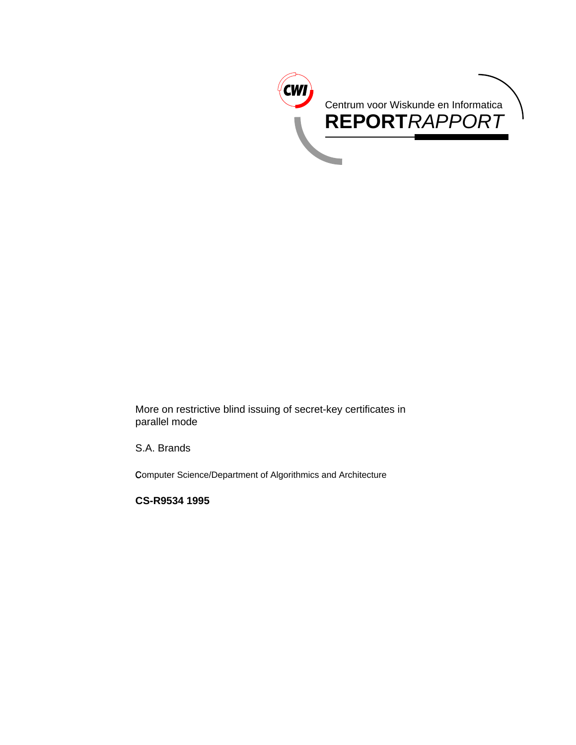

More on restrictive blind issuing of secret-key certificates in parallel mode

S.A. Brands

Computer Science/Department of Algorithmics and Architecture

**CS-R9534 1995**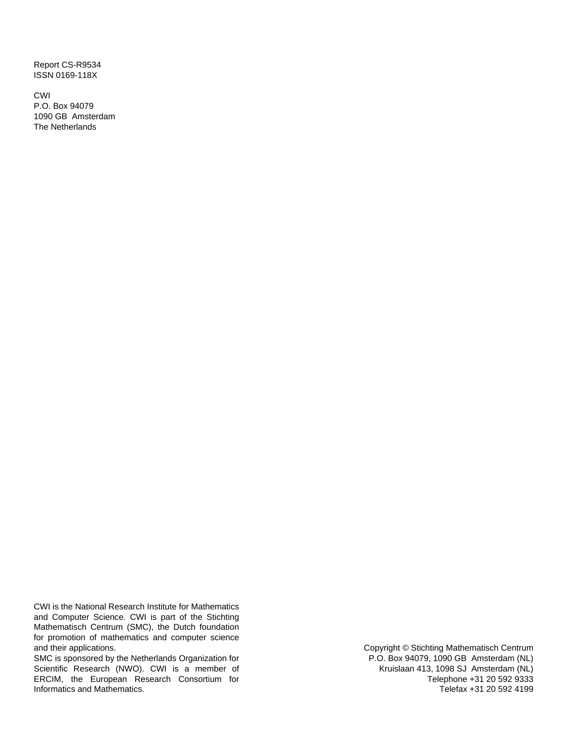Report CS-R9534 ISSN 0169-118X

CWI P.O. Box 94079 1090 GB Amsterdam The Netherlands

CWI is the National Research Institute for Mathematics and Computer Science. CWI is part of the Stichting Mathematisch Centrum (SMC), the Dutch foundation for promotion of mathematics and computer science and their applications.

SMC is sponsored by the Netherlands Organization for Scientific Research (NWO). CWI is a member of ERCIM, the European Research Consortium for Informatics and Mathematics.

Copyright © Stichting Mathematisch Centrum P.O. Box 94079, 1090 GB Amsterdam (NL) Kruislaan 413, 1098 SJ Amsterdam (NL) Telephone +31 20 592 9333 Telefax +31 20 592 4199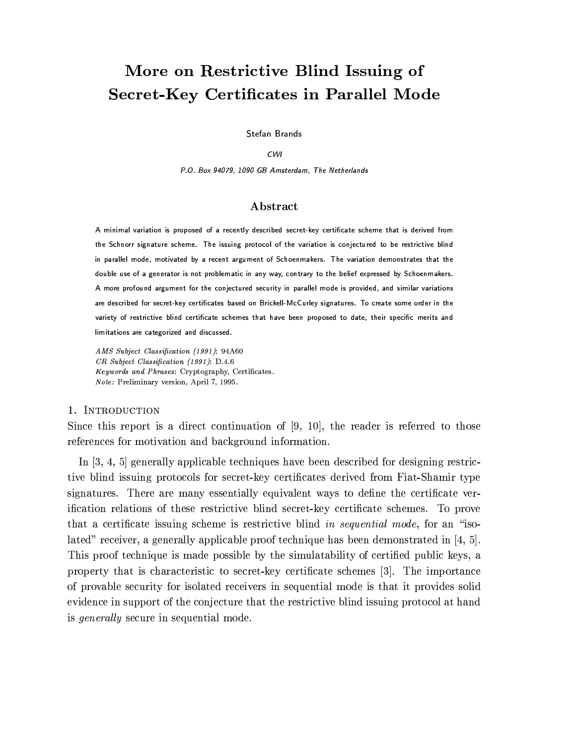# More on Restrictive Blind Issuing of **Secret-Key Certificates in Parallel Mode**

Stefan Brands

#### **CWI**

P.O. Box 94079, 1090 GB Amsterdam. The Netherlands

## Abstract

A minimal variation is proposed of a recently described secret-key certificate scheme that is derived from the Schnorr signature scheme. The issuing protocol of the variation is conjectured to be restrictive blind in parallel mode, motivated by a recent argument of Schoenmakers. The variation demonstrates that the double use of a generator is not problematic in any way, contrary to the belief expressed by Schoenmakers. A more profound argument for the conjectured security in parallel mode is provided, and similar variations are described for secret-key certificates based on Brickell-McCurley signatures. To create some order in the variety of restrictive blind certificate schemes that have been proposed to date, their specific merits and limitations are categorized and discussed.

AMS Subject Classification (1991): 94A60 CR Subject Classification (1991): D.4.6 Keywords and Phrases: Cryptography, Certificates. Note: Preliminary version, April 7, 1995.

### 1. INTRODUCTION

Since this report is a direct continuation of  $[9, 10]$ , the reader is referred to those references for motivation and background information.

In  $[3, 4, 5]$  generally applicable techniques have been described for designing restrictive blind issuing protocols for secret-key certificates derived from Fiat-Shamir type signatures. There are many essentially equivalent ways to define the certificate verification relations of these restrictive blind secret-key certificate schemes. To prove that a certificate issuing scheme is restrictive blind in sequential mode, for an "isolated" receiver, a generally applicable proof technique has been demonstrated in [4, 5]. This proof technique is made possible by the simulatability of certified public keys, a property that is characteristic to secret-key certificate schemes [3]. The importance of provable security for isolated receivers in sequential mode is that it provides solid evidence in support of the conjecture that the restrictive blind issuing protocol at hand is *generally* secure in sequential mode.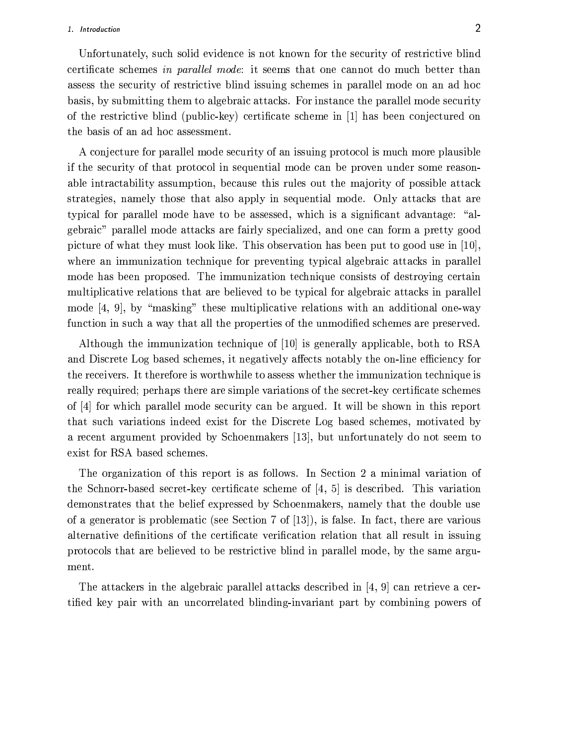#### 1. Introduction

Unfortunately, such solid evidence is not known for the security of restrictive blind certificate schemes in parallel mode: it seems that one cannot do much better than assess the security of restrictive blind issuing schemes in parallel mode on an ad hoc basis, by submitting them to algebraic attacks. For instance the parallel mode security of the restrictive blind (public-key) certificate scheme in [1] has been conjectured on the basis of an ad hoc assessment.

A conjecture for parallel mode security of an issuing protocol is much more plausible if the security of that protocol in sequential mode can be proven under some reasonable intractability assumption, because this rules out the majority of possible attack strategies, namely those that also apply in sequential mode. Only attacks that are typical for parallel mode have to be assessed, which is a significant advantage: "algebraic" parallel mode attacks are fairly specialized, and one can form a pretty good picture of what they must look like. This observation has been put to good use in  $[10]$ , where an immunization technique for preventing typical algebraic attacks in parallel mode has been proposed. The immunization technique consists of destroying certain multiplicative relations that are believed to be typical for algebraic attacks in parallel mode [4, 9], by "masking" these multiplicative relations with an additional one-way function in such a way that all the properties of the unmodified schemes are preserved.

Although the immunization technique of [10] is generally applicable, both to RSA and Discrete Log based schemes, it negatively affects notably the on-line efficiency for the receivers. It therefore is worthwhile to assess whether the immunization technique is really required; perhaps there are simple variations of the secret-key certificate schemes of [4] for which parallel mode security can be argued. It will be shown in this report that such variations indeed exist for the Discrete Log based schemes, motivated by a recent argument provided by Schoenmakers [13], but unfortunately do not seem to exist for RSA based schemes.

The organization of this report is as follows. In Section 2 a minimal variation of the Schnorr-based secret-key certificate scheme of  $\begin{bmatrix} 4 \\ 5 \end{bmatrix}$  is described. This variation demonstrates that the belief expressed by Schoenmakers, namely that the double use of a generator is problematic (see Section 7 of [13]), is false. In fact, there are various alternative definitions of the certificate verification relation that all result in issuing protocols that are believed to be restrictive blind in parallel mode, by the same argument.

The attackers in the algebraic parallel attacks described in  $[4, 9]$  can retrieve a certified key pair with an uncorrelated blinding-invariant part by combining powers of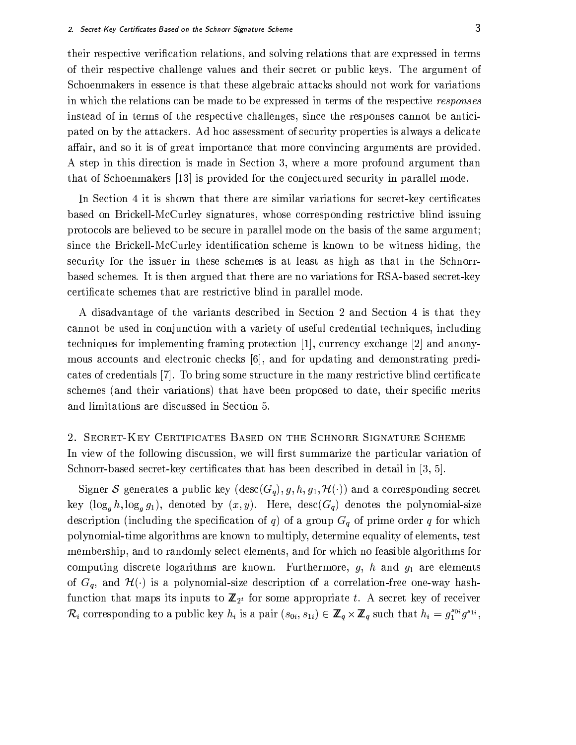their respective verification relations, and solving relations that are expressed in terms of their respective challenge values and their secret or public keys. The argument of Schoenmakers in essence is that these algebraic attacks should not work for variations in which the relations can be made to be expressed in terms of the respective responses instead of in terms of the respective challenges, since the responses cannot be anticipated on by the attackers. Ad hoc assessment of security properties is always a delicate affair, and so it is of great importance that more convincing arguments are provided. A step in this direction is made in Section 3, where a more profound argument than that of Schoenmakers [13] is provided for the conjectured security in parallel mode.

In Section 4 it is shown that there are similar variations for secret-key certificates based on Brickell-McCurley signatures, whose corresponding restrictive blind issuing protocols are believed to be secure in parallel mode on the basis of the same argument; since the Brickell-McCurley identification scheme is known to be witness hiding, the security for the issuer in these schemes is at least as high as that in the Schnorrbased schemes. It is then argued that there are no variations for RSA-based secret-key certificate schemes that are restrictive blind in parallel mode.

A disadvantage of the variants described in Section 2 and Section 4 is that they cannot be used in conjunction with a variety of useful credential techniques, including techniques for implementing framing protection [1], currency exchange  $[2]$  and anonymous accounts and electronic checks [6], and for updating and demonstrating predicates of credentials [7]. To bring some structure in the many restrictive blind certificate schemes (and their variations) that have been proposed to date, their specific merits and limitations are discussed in Section 5.

2. SECRET-KEY CERTIFICATES BASED ON THE SCHNORR SIGNATURE SCHEME In view of the following discussion, we will first summarize the particular variation of Schnorr-based secret-key certificates that has been described in detail in [3, 5].

Signer S generates a public key  $(\text{desc}(G_q), g, h, g_1, \mathcal{H}(\cdot))$  and a corresponding secret key  $(\log_q h, \log_q g_1)$ , denoted by  $(x, y)$ . Here,  $\text{desc}(G_q)$  denotes the polynomial-size description (including the specification of q) of a group  $G_q$  of prime order q for which polynomial-time algorithms are known to multiply, determine equality of elements, test membership, and to randomly select elements, and for which no feasible algorithms for computing discrete logarithms are known. Furthermore,  $g$ ,  $h$  and  $g_1$  are elements of  $G_q$ , and  $\mathcal{H}(\cdot)$  is a polynomial-size description of a correlation-free one-way hashfunction that maps its inputs to  $\mathbb{Z}_{2^t}$  for some appropriate t. A secret key of receiver  $\mathcal{R}_i$  corresponding to a public key  $h_i$  is a pair  $(s_{0i}, s_{1i}) \in \mathbb{Z}_q \times \mathbb{Z}_q$  such that  $h_i = g_1^{s_{0i}} g^{s_{1i}},$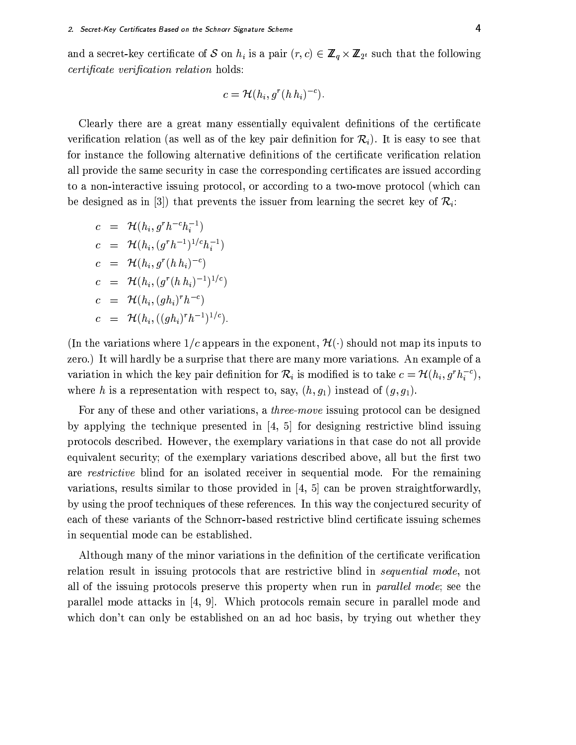and a secret-key certificate of S on  $h_i$  is a pair  $(r, c) \in \mathbb{Z}_q \times \mathbb{Z}_{2^t}$  such that the following certificate verification relation holds:

$$
c = \mathcal{H}(h_i, g^r(h h_i)^{-c})
$$

Clearly there are a great many essentially equivalent definitions of the certificate verification relation (as well as of the key pair definition for  $\mathcal{R}_i$ ). It is easy to see that for instance the following alternative definitions of the certificate verification relation all provide the same security in case the corresponding certificates are issued according to a non-interactive issuing protocol, or according to a two-move protocol (which can be designed as in [3]) that prevents the issuer from learning the secret key of  $\mathcal{R}_i$ :

$$
c = \mathcal{H}(h_i, g^r h^{-c} h_i^{-1})
$$
  
\n
$$
c = \mathcal{H}(h_i, (g^r h^{-1})^{1/c} h_i^{-1})
$$
  
\n
$$
c = \mathcal{H}(h_i, g^r (h h_i)^{-c})
$$
  
\n
$$
c = \mathcal{H}(h_i, (g^r (h h_i)^{-1})^{1/c})
$$
  
\n
$$
c = \mathcal{H}(h_i, (gh_i)^r h^{-c})
$$
  
\n
$$
c = \mathcal{H}(h_i, ((gh_i)^r h^{-1})^{1/c}).
$$

(In the variations where  $1/c$  appears in the exponent,  $\mathcal{H}(\cdot)$  should not map its inputs to zero.) It will hardly be a surprise that there are many more variations. An example of a variation in which the key pair definition for  $\mathcal{R}_i$  is modified is to take  $c = \mathcal{H}(h_i, g^r h_i^{-c})$ , where h is a representation with respect to, say,  $(h, g_1)$  instead of  $(g, g_1)$ .

For any of these and other variations, a *three-move* issuing protocol can be designed by applying the technique presented in  $[4, 5]$  for designing restrictive blind issuing protocols described. However, the exemplary variations in that case do not all provide equivalent security; of the exemplary variations described above, all but the first two are restrictive blind for an isolated receiver in sequential mode. For the remaining variations, results similar to those provided in  $[4, 5]$  can be proven straightforwardly, by using the proof techniques of these references. In this way the conjectured security of each of these variants of the Schnorr-based restrictive blind certificate issuing schemes in sequential mode can be established.

Although many of the minor variations in the definition of the certificate verification relation result in issuing protocols that are restrictive blind in *sequential mode*, not all of the issuing protocols preserve this property when run in *parallel mode*; see the parallel mode attacks in [4, 9]. Which protocols remain secure in parallel mode and which don't can only be established on an ad hoc basis, by trying out whether they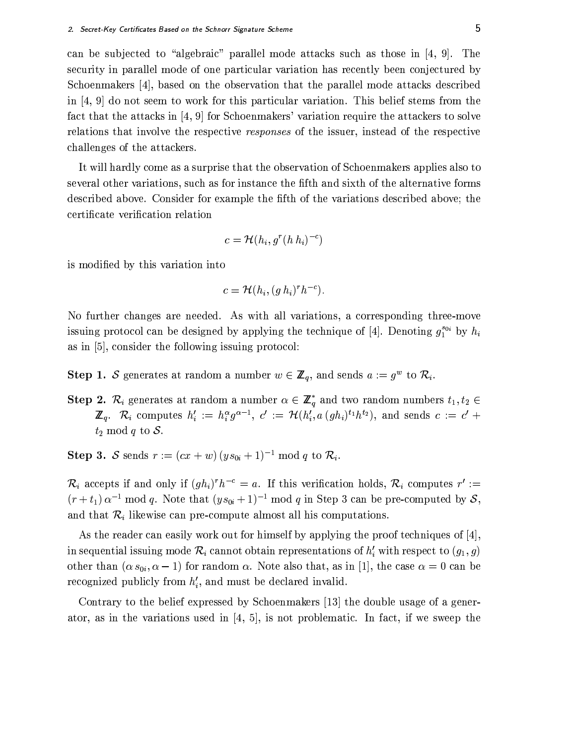can be subjected to "algebraic" parallel mode attacks such as those in [4, 9]. The security in parallel mode of one particular variation has recently been conjectured by Schoenmakers [4], based on the observation that the parallel mode attacks described in  $[4, 9]$  do not seem to work for this particular variation. This belief stems from the fact that the attacks in [4, 9] for Schoenmakers' variation require the attackers to solve relations that involve the respective responses of the issuer, instead of the respective challenges of the attackers.

It will hardly come as a surprise that the observation of Schoenmakers applies also to several other variations, such as for instance the fifth and sixth of the alternative forms described above. Consider for example the fifth of the variations described above; the certificate verification relation

$$
c = \mathcal{H}(h_i, g^r(h h_i)^{-c})
$$

is modified by this variation into

$$
c = \mathcal{H}(h_i, (g h_i)^r h^{-c})
$$

No further changes are needed. As with all variations, a corresponding three-move issuing protocol can be designed by applying the technique of [4]. Denoting  $g_1^{s_{0i}}$  by  $h_i$ as in  $[5]$ , consider the following issuing protocol:

- **Step 1.** S generates at random a number  $w \in \mathbb{Z}_q$ , and sends  $a := g^w$  to  $\mathcal{R}_i$ .
- **Step 2.**  $\mathcal{R}_i$  generates at random a number  $\alpha \in \mathbb{Z}_q^*$  and two random numbers  $t_1, t_2 \in$  $\mathbb{Z}_q$ .  $\mathcal{R}_i$  computes  $h'_i := h_i^{\alpha} g^{\alpha-1}$ ,  $c' := \mathcal{H}(h'_i, a (gh_i)^{t_1} h^{t_2})$ , and sends  $c := c' +$  $t_2 \mod q$  to S.

**Step 3.** S sends  $r := (cx + w)(ys_{0i} + 1)^{-1} \text{ mod } q$  to  $\mathcal{R}_i$ .

 $\mathcal{R}_i$  accepts if and only if  $(gh_i)^r h^{-c} = a$ . If this verification holds,  $\mathcal{R}_i$  computes  $r' :=$  $(r+t_1) \alpha^{-1}$  mod q. Note that  $(ys_{0i}+1)^{-1}$  mod q in Step 3 can be pre-computed by S, and that  $\mathcal{R}_i$  likewise can pre-compute almost all his computations.

As the reader can easily work out for himself by applying the proof techniques of  $[4]$ , in sequential issuing mode  $\mathcal{R}_i$  cannot obtain representations of  $h'_i$  with respect to  $(g_1, g)$ other than  $(\alpha s_{0i}, \alpha - 1)$  for random  $\alpha$ . Note also that, as in [1], the case  $\alpha = 0$  can be recognized publicly from  $h'_i$ , and must be declared invalid.

Contrary to the belief expressed by Schoenmakers [13] the double usage of a generator, as in the variations used in  $\left[4, 5\right]$ , is not problematic. In fact, if we sweep the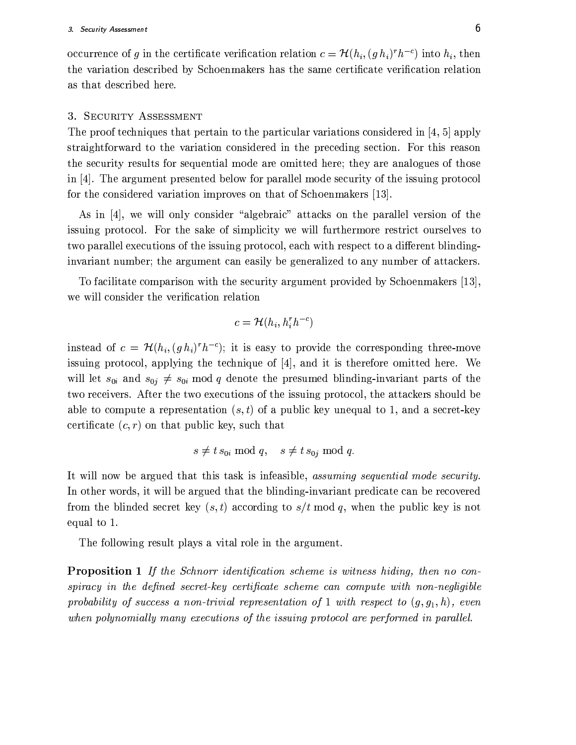occurrence of g in the certificate verification relation  $c = \mathcal{H}(h_i, (gh_i)^r h^{-c})$  into  $h_i$ , then the variation described by Schoenmakers has the same certificate verification relation as that described here.

#### 3. SECURITY ASSESSMENT

The proof techniques that pertain to the particular variations considered in [4, 5] apply straightforward to the variation considered in the preceding section. For this reason the security results for sequential mode are omitted here; they are analogues of those in [4]. The argument presented below for parallel mode security of the issuing protocol for the considered variation improves on that of Schoenmakers [13].

As in [4], we will only consider "algebraic" attacks on the parallel version of the issuing protocol. For the sake of simplicity we will furthermore restrict ourselves to two parallel executions of the issuing protocol, each with respect to a different blindinginvariant number; the argument can easily be generalized to any number of attackers.

To facilitate comparison with the security argument provided by Schoenmakers [13], we will consider the verification relation

$$
c = \mathcal{H}(h_i, h_i^r h^{-c})
$$

instead of  $c = \mathcal{H}(h_i, (gh_i)^r h^{-c})$ ; it is easy to provide the corresponding three-move issuing protocol, applying the technique of  $[4]$ , and it is therefore omitted here. We will let  $s_{0i}$  and  $s_{0j} \neq s_{0i}$  mod q denote the presumed blinding-invariant parts of the two receivers. After the two executions of the issuing protocol, the attackers should be able to compute a representation  $(s, t)$  of a public key unequal to 1, and a secret-key certificate  $(c, r)$  on that public key, such that

$$
s \neq t \, s_{0i} \bmod q, \quad s \neq t \, s_{0j} \bmod q
$$

It will now be argued that this task is infeasible, assuming sequential mode security. In other words, it will be argued that the blinding-invariant predicate can be recovered from the blinded secret key  $(s, t)$  according to  $s/t$  mod q, when the public key is not equal to 1.

The following result plays a vital role in the argument.

**Proposition 1** If the Schnorr identification scheme is witness hiding, then no conspiracy in the defined secret-key certificate scheme can compute with non-negligible probability of success a non-trivial representation of 1 with respect to  $(q, q_1, h)$ , even when polynomially many executions of the issuing protocol are performed in parallel.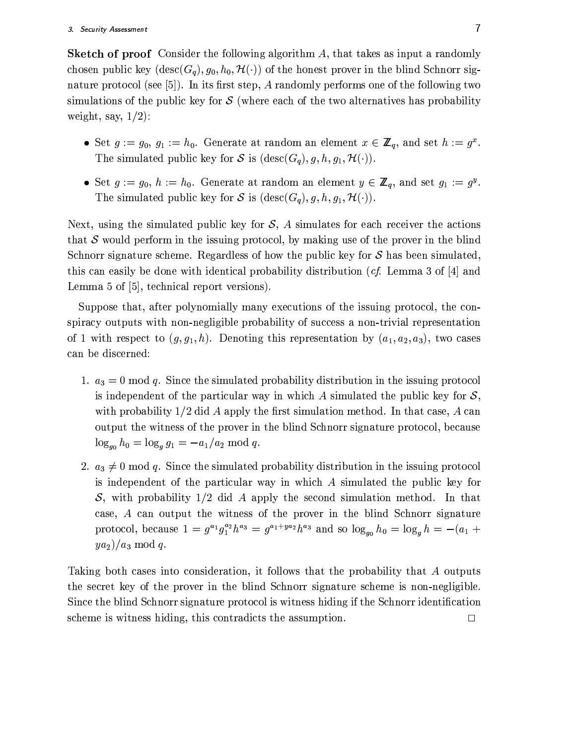**Sketch of proof** Consider the following algorithm A, that takes as input a randomly chosen public key  $(\text{desc}(G_q), g_0, h_0, \mathcal{H}(\cdot))$  of the honest prover in the blind Schnorr signature protocol (see [5]). In its first step,  $A$  randomly performs one of the following two simulations of the public key for  $\mathcal S$  (where each of the two alternatives has probability weight, say,  $1/2$ :

- Set  $g := g_0, g_1 := h_0$ . Generate at random an element  $x \in \mathbb{Z}_q$ , and set  $h := g^x$ . The simulated public key for S is  $(\text{desc}(G_q), g, h, g_1, \mathcal{H}(\cdot)).$
- Set  $g := g_0$ ,  $h := h_0$ . Generate at random an element  $y \in \mathbb{Z}_q$ , and set  $g_1 := g^y$ . The simulated public key for S is  $(\text{desc}(G_a), g, h, g_1, \mathcal{H}(\cdot)).$

Next, using the simulated public key for  $S$ , A simulates for each receiver the actions that S would perform in the issuing protocol, by making use of the prover in the blind Schnorr signature scheme. Regardless of how the public key for  $S$  has been simulated. this can easily be done with identical probability distribution (*cf.* Lemma 3 of [4] and Lemma 5 of [5], technical report versions).

Suppose that, after polynomially many executions of the issuing protocol, the conspiracy outputs with non-negligible probability of success a non-trivial representation of 1 with respect to  $(g, g_1, h)$ . Denoting this representation by  $(a_1, a_2, a_3)$ , two cases can be discerned:

- 1.  $a_3 = 0 \mod q$ . Since the simulated probability distribution in the issuing protocol is independent of the particular way in which A simulated the public key for  $S$ , with probability  $1/2$  did A apply the first simulation method. In that case, A can output the witness of the prover in the blind Schnorr signature protocol, because  $\log_{g_0} h_0 = \log_g g_1 = -a_1/a_2 \text{ mod } q.$
- 2.  $a_3 \neq 0 \mod q$ . Since the simulated probability distribution in the issuing protocol is independent of the particular way in which  $A$  simulated the public key for S, with probability  $1/2$  did A apply the second simulation method. In that case, A can output the witness of the prover in the blind Schnorr signature protocol, because  $1 = g^{a_1}g_1^{a_2}h^{a_3} = g^{a_1+ya_2}h^{a_3}$  and so  $\log_{g_0} h_0 = \log_g h = -(a_1 +$  $y a_2$ / $a_3$  mod q.

Taking both cases into consideration, it follows that the probability that A outputs the secret key of the prover in the blind Schnorr signature scheme is non-negligible. Since the blind Schnorr signature protocol is witness hiding if the Schnorr identification scheme is witness hiding, this contradicts the assumption.  $\Box$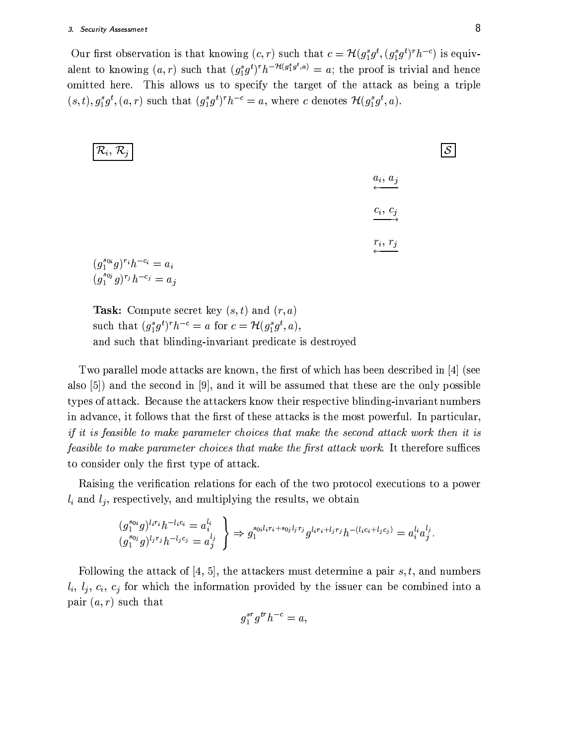Our first observation is that knowing  $(c, r)$  such that  $c = \mathcal{H}(g_1^s g^t, (g_1^s g^t)^r h^{-c})$  is equivalent to knowing  $(a, r)$  such that  $(g_1^s g^t)^r h^{-\mathcal{H}(g_1^s g^t, a)} = a$ ; the proof is trivial and hence omitted here. This allows us to specify the target of the attack as being a triple  $(s, t), g_1^s g^t, (a, r)$  such that  $(g_1^s g^t)^r h^{-c} = a$ , where c denotes  $\mathcal{H}(g_1^s g^t, a)$ .

| $\left  \mathcal{R}_{i},\, \mathcal{R}_{j} \right $                            | $\mathcal{S}_{-}$ |
|--------------------------------------------------------------------------------|-------------------|
| $\overset{a_i, a_j}{\longleftarrow}$                                           |                   |
| $\xrightarrow{c_i, c_j}$                                                       |                   |
| $\stackrel{r_i, r_j}{\longleftarrow}$                                          |                   |
| $(g_1^{s_{0i}}g)^{r_i}h^{-c_i} = a_i$<br>$(g_1^{s_{0j}}g)^{r_j}h^{-c_j} = a_j$ |                   |
|                                                                                |                   |

**Task:** Compute secret key  $(s, t)$  and  $(r, a)$ such that  $(g_1^s g^t)^r h^{-c} = a$  for  $c = \mathcal{H}(g_1^s g^t, a)$ , and such that blinding-invariant predicate is destroyed

Two parallel mode attacks are known, the first of which has been described in  $[4]$  (see also [5]) and the second in [9], and it will be assumed that these are the only possible types of attack. Because the attackers know their respective blinding-invariant numbers in advance, it follows that the first of these attacks is the most powerful. In particular, if it is feasible to make parameter choices that make the second attack work then it is *feasible to make parameter choices that make the first attack work.* It therefore suffices to consider only the first type of attack.

Raising the verification relations for each of the two protocol executions to a power  $l_i$  and  $l_j$ , respectively, and multiplying the results, we obtain

$$
\begin{aligned}\n(g_1^{s_{0i}}g)^{l_ir_i}h^{-l_ic_i} &= a_i^{l_i} \\
(g_1^{s_{0j}}g)^{l_jr_j}h^{-l_jc_j} &= a_j^{l_j}\n\end{aligned}\n\bigg\} \Rightarrow g_1^{s_{0i}l_ir_i + s_{0j}l_jr_j}g^{l_ir_i + l_jr_j}h^{-(l_ic_i + l_jc_j)} = a_i^{l_i}a_j^{l_j}.
$$

Following the attack of [4, 5], the attackers must determine a pair s, t, and numbers  $l_i, l_j, c_i, c_j$  for which the information provided by the issuer can be combined into a pair  $(a, r)$  such that

$$
g_1^{sr}g^{tr}h^{-c}=a,
$$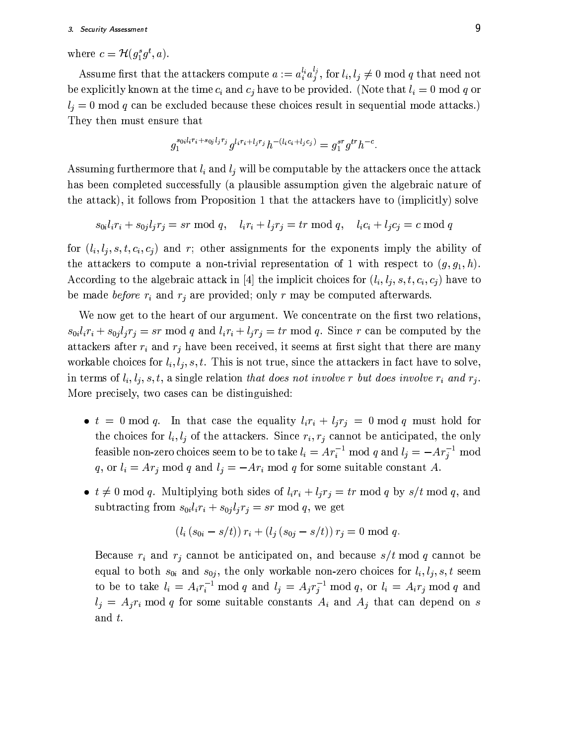where  $c = \mathcal{H}(q_1^s q^t, a)$ .

Assume first that the attackers compute  $a := a_i^{l_i} a_j^{l_j}$ , for  $l_i, l_j \neq 0 \text{ mod } q$  that need not be explicitly known at the time  $c_i$  and  $c_j$  have to be provided. (Note that  $l_i = 0$  mod q or  $l_i = 0$  mod q can be excluded because these choices result in sequential mode attacks.) They then must ensure that

$$
g_1^{s_{0i}l_ir_i + s_{0j}l_jr_j}g^{l_ir_i + l_jr_j}h^{-(l_ic_i + l_jc_j)} = g_1^{sr}g^{tr}h^{-c}.
$$

Assuming furthermore that  $l_i$  and  $l_j$  will be computable by the attackers once the attack has been completed successfully (a plausible assumption given the algebraic nature of the attack), it follows from Proposition 1 that the attackers have to (implicitly) solve

 $s_{0i}l_ir_i + s_{0i}l_ir_i = sr \mod q$ ,  $l_ir_i + l_ir_j = tr \mod q$ ,  $l_ic_i + l_ic_j = c \mod q$ 

for  $(l_i, l_i, s, t, c_i, c_j)$  and r; other assignments for the exponents imply the ability of the attackers to compute a non-trivial representation of 1 with respect to  $(g, g_1, h)$ . According to the algebraic attack in [4] the implicit choices for  $(l_i, l_j, s, t, c_i, c_j)$  have to be made *before*  $r_i$  and  $r_j$  are provided; only r may be computed afterwards.

We now get to the heart of our argument. We concentrate on the first two relations,  $s_{0i}l_ir_i + s_{0j}l_jr_j = sr \mod q$  and  $l_ir_i + l_jr_j = tr \mod q$ . Since r can be computed by the attackers after  $r_i$  and  $r_j$  have been received, it seems at first sight that there are many workable choices for  $l_i, l_j, s, t$ . This is not true, since the attackers in fact have to solve, in terms of  $l_i, l_i, s, t$ , a single relation that does not involve r but does involve  $r_i$  and  $r_j$ . More precisely, two cases can be distinguished:

- $t = 0 \mod q$ . In that case the equality  $l_i r_i + l_j r_j = 0 \mod q$  must hold for the choices for  $l_i, l_j$  of the attackers. Since  $r_i, r_j$  cannot be anticipated, the only feasible non-zero choices seem to be to take  $l_i = Ar_i^{-1}$  mod q and  $l_j = -Ar_j^{-1}$  mod q, or  $l_i = Ar_j \mod q$  and  $l_j = -Ar_i \mod q$  for some suitable constant A.
- $t \neq 0 \mod q$ . Multiplying both sides of  $l_i r_i + l_j r_j = tr \mod q$  by  $s/t \mod q$ , and subtracting from  $s_{0i}l_ir_i + s_{0j}l_jr_j = sr \mod q$ , we get

$$
(l_i (s_{0i} - s/t)) r_i + (l_j (s_{0j} - s/t)) r_j = 0 \text{ mod } q.
$$

Because  $r_i$  and  $r_j$  cannot be anticipated on, and because  $s/t \mod q$  cannot be equal to both  $s_{0i}$  and  $s_{0j}$ , the only workable non-zero choices for  $l_i, l_j, s, t$  seem to be to take  $l_i = A_i r_i^{-1} \text{ mod } q$  and  $l_j = A_j r_j^{-1} \text{ mod } q$ , or  $l_i = A_i r_j \text{ mod } q$  and  $l_i = A_i r_i \mod q$  for some suitable constants  $A_i$  and  $A_j$  that can depend on s and  $t$ .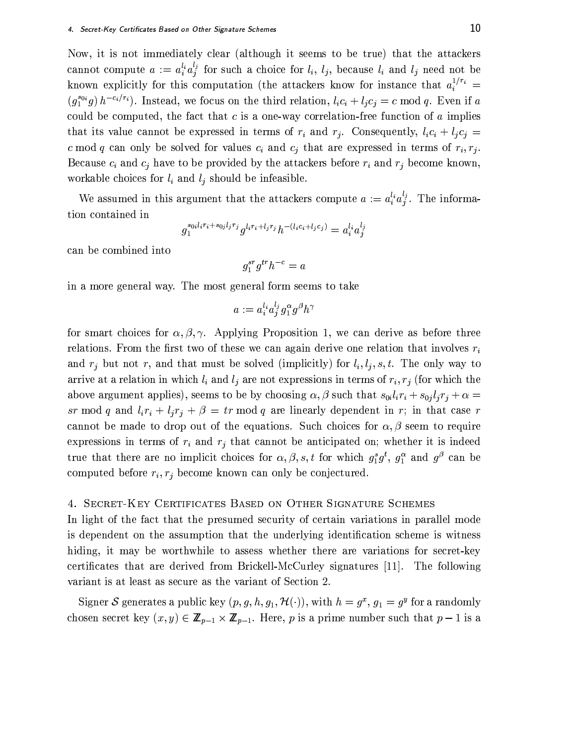Now, it is not immediately clear (although it seems to be true) that the attackers cannot compute  $a := a_i^{l_i} a_j^{l_j}$  for such a choice for  $l_i$ ,  $l_j$ , because  $l_i$  and  $l_j$  need not be known explicitly for this computation (the attackers know for instance that  $a_i^{1/r_i}$  =  $(g_1^{s_{0i}}g) h^{-c_i/r_i}$ . Instead, we focus on the third relation,  $l_i c_i + l_j c_j = c \mod q$ . Even if a could be computed, the fact that  $c$  is a one-way correlation-free function of  $a$  implies that its value cannot be expressed in terms of  $r_i$  and  $r_j$ . Consequently,  $l_i c_i + l_j c_j =$ c mod q can only be solved for values  $c_i$  and  $c_j$  that are expressed in terms of  $r_i, r_j$ . Because  $c_i$  and  $c_j$  have to be provided by the attackers before  $r_i$  and  $r_j$  become known, workable choices for  $l_i$  and  $l_j$  should be infeasible.

We assumed in this argument that the attackers compute  $a := a_i^{l_i} a_j^{l_j}$ . The information contained in

$$
g_1^{s_0_i l_i r_i + s_{0j} l_j r_j} g^{l_i r_i + l_j r_j} h^{-(l_i c_i + l_j c_j)} = a_i^{l_i} a_j^{l_j}
$$

can be combined into

$$
g_1^{sr}g^{tr}h^{-c}=a\\
$$

in a more general way. The most general form seems to take

$$
a:=a_i^{l_i}a_j^{l_j}g_1^{\alpha}g^{\beta}h^{\gamma}
$$

for smart choices for  $\alpha, \beta, \gamma$ . Applying Proposition 1, we can derive as before three relations. From the first two of these we can again derive one relation that involves  $r_i$ and  $r_j$  but not r, and that must be solved (implicitly) for  $l_i, l_j, s, t$ . The only way to arrive at a relation in which  $l_i$  and  $l_j$  are not expressions in terms of  $r_i$ ,  $r_j$  (for which the above argument applies), seems to be by choosing  $\alpha$ ,  $\beta$  such that  $s_{0i}l_ir_i + s_{0j}l_jr_j + \alpha =$ sr mod q and  $l_i r_i + l_j r_j + \beta = tr \mod q$  are linearly dependent in r; in that case r cannot be made to drop out of the equations. Such choices for  $\alpha, \beta$  seem to require expressions in terms of  $r_i$  and  $r_j$  that cannot be anticipated on; whether it is indeed true that there are no implicit choices for  $\alpha$ ,  $\beta$ ,  $s$ , t for which  $g_1^s g^t$ ,  $g_1^{\alpha}$  and  $g^{\beta}$  can be computed before  $r_i, r_j$  become known can only be conjectured.

## 4. SECRET-KEY CERTIFICATES BASED ON OTHER SIGNATURE SCHEMES

In light of the fact that the presumed security of certain variations in parallel mode is dependent on the assumption that the underlying identification scheme is witness hiding, it may be worthwhile to assess whether there are variations for secret-key certificates that are derived from Brickell-McCurley signatures [11]. The following variant is at least as secure as the variant of Section 2.

Signer S generates a public key  $(p, g, h, g_1, \mathcal{H}(\cdot))$ , with  $h = g^x$ ,  $g_1 = g^y$  for a randomly chosen secret key  $(x, y) \in \mathbb{Z}_{p-1} \times \mathbb{Z}_{p-1}$ . Here, p is a prime number such that  $p-1$  is a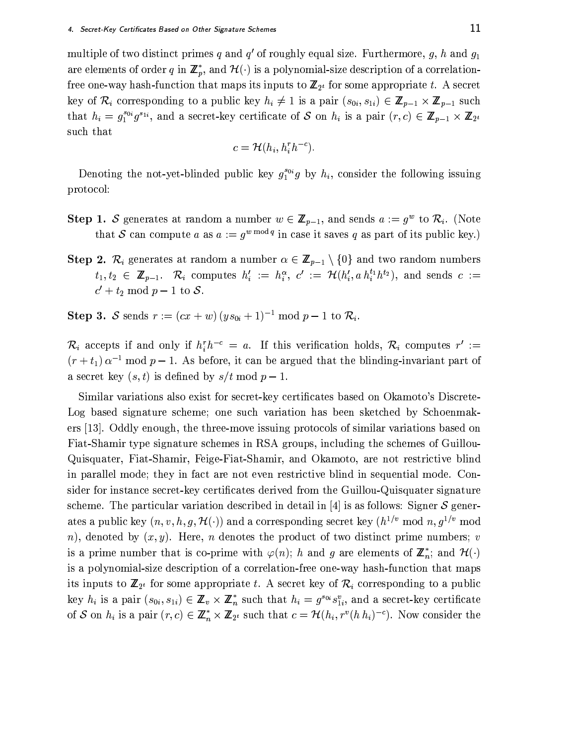multiple of two distinct primes q and  $q'$  of roughly equal size. Furthermore,  $q$ , h and  $q_1$ are elements of order q in  $\mathbb{Z}_p^*$ , and  $\mathcal{H}(\cdot)$  is a polynomial-size description of a correlationfree one-way hash-function that maps its inputs to  $\mathbb{Z}_{2^t}$  for some appropriate t. A secret key of  $\mathcal{R}_i$  corresponding to a public key  $h_i \neq 1$  is a pair  $(s_{0i}, s_{1i}) \in \mathbb{Z}_{p-1} \times \mathbb{Z}_{p-1}$  such that  $h_i = g_1^{s_{0i}} g^{s_{1i}}$ , and a secret-key certificate of S on  $h_i$  is a pair  $(r, c) \in \mathbb{Z}_{p-1} \times \mathbb{Z}_{2^t}$ such that

$$
c = \mathcal{H}(h_i, h_i^r h^{-c})
$$

Denoting the not-yet-blinded public key  $g_1^{s_{0i}}g$  by  $h_i$ , consider the following issuing protocol:

- **Step 1. S** generates at random a number  $w \in \mathbb{Z}_{p-1}$ , and sends  $a := g^w$  to  $\mathcal{R}_i$ . (Note that S can compute a as  $a := q^{w \mod q}$  in case it saves q as part of its public key.)
- **Step 2.**  $\mathcal{R}_i$  generates at random a number  $\alpha \in \mathbb{Z}_{p-1} \setminus \{0\}$  and two random numbers  $t_1, t_2 \in \mathbb{Z}_{p-1}$ .  $\mathcal{R}_i$  computes  $h'_i := h_i^{\alpha}, c' := \mathcal{H}(h'_i, a h_i^{t_1} h^{t_2}),$  and sends  $c :=$  $c' + t_2 \mod p - 1$  to S.

**Step 3.** S sends  $r := (cx + w)(ys_{0i} + 1)^{-1} \text{ mod } p - 1$  to  $\mathcal{R}_i$ .

 $\mathcal{R}_i$  accepts if and only if  $h_i^r h^{-c} = a$ . If this verification holds,  $\mathcal{R}_i$  computes  $r' :=$  $(r+t_1)\alpha^{-1}$  mod  $p-1$ . As before, it can be argued that the blinding-invariant part of a secret key  $(s, t)$  is defined by  $s/t \mod p-1$ .

Similar variations also exist for secret-key certificates based on Okamoto's Discrete-Log based signature scheme; one such variation has been sketched by Schoenmakers [13]. Oddly enough, the three-move issuing protocols of similar variations based on Fiat-Shamir type signature schemes in RSA groups, including the schemes of Guillou-Quisquater, Fiat-Shamir, Feige-Fiat-Shamir, and Okamoto, are not restrictive blind in parallel mode; they in fact are not even restrictive blind in sequential mode. Consider for instance secret-key certificates derived from the Guillou-Quisquater signature scheme. The particular variation described in detail in [4] is as follows: Signer  $S$  generates a public key  $(n, v, h, g, \mathcal{H}(\cdot))$  and a corresponding secret key  $(h^{1/v} \mod n, g^{1/v} \mod n)$ n), denoted by  $(x, y)$ . Here, n denotes the product of two distinct prime numbers; v is a prime number that is co-prime with  $\varphi(n)$ ; h and g are elements of  $\mathbb{Z}_n^*$ ; and  $\mathcal{H}(\cdot)$ is a polynomial-size description of a correlation-free one-way hash-function that maps its inputs to  $\mathbb{Z}_{2^t}$  for some appropriate t. A secret key of  $\mathcal{R}_i$  corresponding to a public key  $h_i$  is a pair  $(s_{0i}, s_{1i}) \in \mathbb{Z}_v \times \mathbb{Z}_n^*$  such that  $h_i = g^{s_{0i}} s_{1i}^v$ , and a secret-key certificate of S on  $h_i$  is a pair  $(r, c) \in \mathbb{Z}_n^* \times \mathbb{Z}_{2^t}$  such that  $c = \mathcal{H}(h_i, r^v(h h_i)^{-c})$ . Now consider the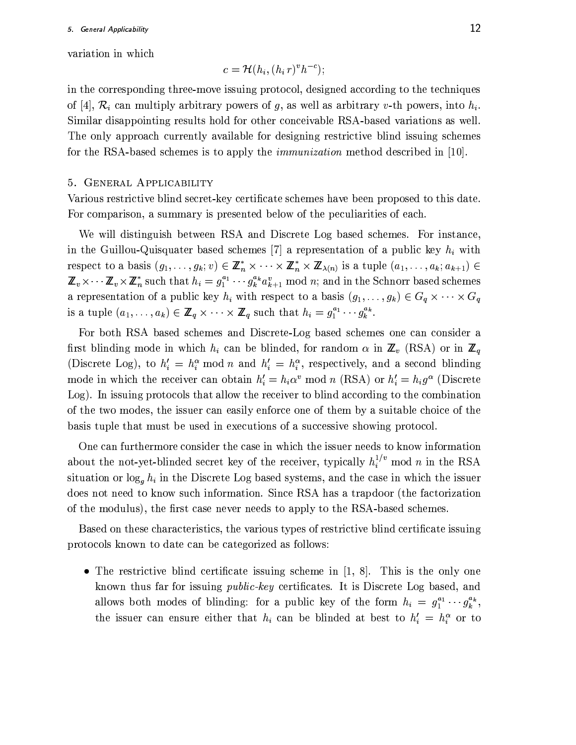variation in which

$$
c = \mathcal{H}(h_i, (h_i r)^v h^{-c});
$$

in the corresponding three-move issuing protocol, designed according to the techniques of [4],  $\mathcal{R}_i$  can multiply arbitrary powers of g, as well as arbitrary v-th powers, into  $h_i$ . Similar disappointing results hold for other conceivable RSA-based variations as well. The only approach currently available for designing restrictive blind issuing schemes for the RSA-based schemes is to apply the *immunization* method described in [10].

#### 5. GENERAL APPLICABILITY

Various restrictive blind secret-key certificate schemes have been proposed to this date. For comparison, a summary is presented below of the peculiarities of each.

We will distinguish between RSA and Discrete Log based schemes. For instance, in the Guillou-Quisquater based schemes [7] a representation of a public key  $h_i$  with respect to a basis  $(g_1, \ldots, g_k; v) \in \mathbb{Z}_n^* \times \cdots \times \mathbb{Z}_n^* \times \mathbb{Z}_{\lambda(n)}$  is a tuple  $(a_1, \ldots, a_k; a_{k+1}) \in$  $\mathbb{Z}_v \times \cdots \mathbb{Z}_v \times \mathbb{Z}_n^*$  such that  $h_i = g_1^{a_1} \cdots g_k^{a_k} a_{k+1}^v \mod n$ ; and in the Schnorr based schemes a representation of a public key  $h_i$  with respect to a basis  $(g_1, \ldots, g_k) \in G_q \times \cdots \times G_q$ is a tuple  $(a_1, \ldots, a_k) \in \mathbb{Z}_q \times \cdots \times \mathbb{Z}_q$  such that  $h_i = g_1^{a_1} \cdots g_k^{a_k}$ .

For both RSA based schemes and Discrete-Log based schemes one can consider a first blinding mode in which  $h_i$  can be blinded, for random  $\alpha$  in  $\mathbb{Z}_v$  (RSA) or in  $\mathbb{Z}_q$ (Discrete Log), to  $h'_i = h_i^{\alpha} \mod n$  and  $h'_i = h_i^{\alpha}$ , respectively, and a second blinding mode in which the receiver can obtain  $h'_i = h_i \alpha^v \mod n$  (RSA) or  $h'_i = h_i g^\alpha$  (Discrete Log). In issuing protocols that allow the receiver to blind according to the combination of the two modes, the issuer can easily enforce one of them by a suitable choice of the basis tuple that must be used in executions of a successive showing protocol.

One can furthermore consider the case in which the issuer needs to know information about the not-yet-blinded secret key of the receiver, typically  $h_i^{1/v}$  mod n in the RSA situation or  $\log_a h_i$  in the Discrete Log based systems, and the case in which the issuer does not need to know such information. Since RSA has a trapdoor (the factorization of the modulus), the first case never needs to apply to the RSA-based schemes.

Based on these characteristics, the various types of restrictive blind certificate issuing protocols known to date can be categorized as follows:

• The restrictive blind certificate issuing scheme in  $[1, 8]$ . This is the only one known thus far for issuing *public-key* certificates. It is Discrete Log based, and allows both modes of blinding: for a public key of the form  $h_i = g_1^{a_1} \cdots g_k^{a_k}$ , the issuer can ensure either that  $h_i$  can be blinded at best to  $h'_i = h_i^{\alpha}$  or to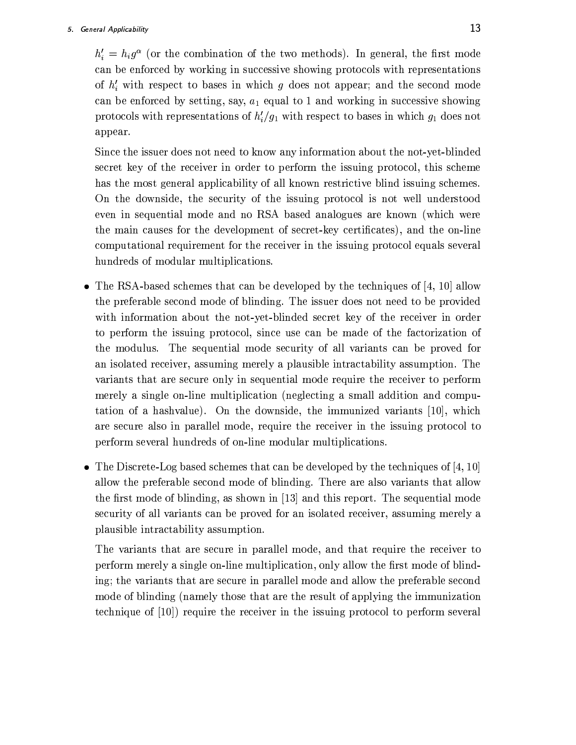$h'_i = h_i g^{\alpha}$  (or the combination of the two methods). In general, the first mode can be enforced by working in successive showing protocols with representations of  $h'_i$  with respect to bases in which g does not appear; and the second mode can be enforced by setting, say,  $a_1$  equal to 1 and working in successive showing protocols with representations of  $h'_i/g_1$  with respect to bases in which  $g_1$  does not appear.

Since the issuer does not need to know any information about the not-yet-blinded secret key of the receiver in order to perform the issuing protocol, this scheme has the most general applicability of all known restrictive blind issuing schemes. On the downside, the security of the issuing protocol is not well understood even in sequential mode and no RSA based analogues are known (which were the main causes for the development of secret-key certificates), and the on-line computational requirement for the receiver in the issuing protocol equals several hundreds of modular multiplications.

- The RSA-based schemes that can be developed by the techniques of  $[4, 10]$  allow the preferable second mode of blinding. The issuer does not need to be provided with information about the not-yet-blinded secret key of the receiver in order to perform the issuing protocol, since use can be made of the factorization of the modulus. The sequential mode security of all variants can be proved for an isolated receiver, assuming merely a plausible intractability assumption. The variants that are secure only in sequential mode require the receiver to perform merely a single on-line multiplication (neglecting a small addition and computation of a hashvalue). On the downside, the immunized variants  $[10]$ , which are secure also in parallel mode, require the receiver in the issuing protocol to perform several hundreds of on-line modular multiplications.
- The Discrete-Log based schemes that can be developed by the techniques of  $[4, 10]$ allow the preferable second mode of blinding. There are also variants that allow the first mode of blinding, as shown in [13] and this report. The sequential mode security of all variants can be proved for an isolated receiver, assuming merely a plausible intractability assumption.

The variants that are secure in parallel mode, and that require the receiver to perform merely a single on-line multiplication, only allow the first mode of blinding; the variants that are secure in parallel mode and allow the preferable second mode of blinding (namely those that are the result of applying the immunization technique of [10]) require the receiver in the issuing protocol to perform several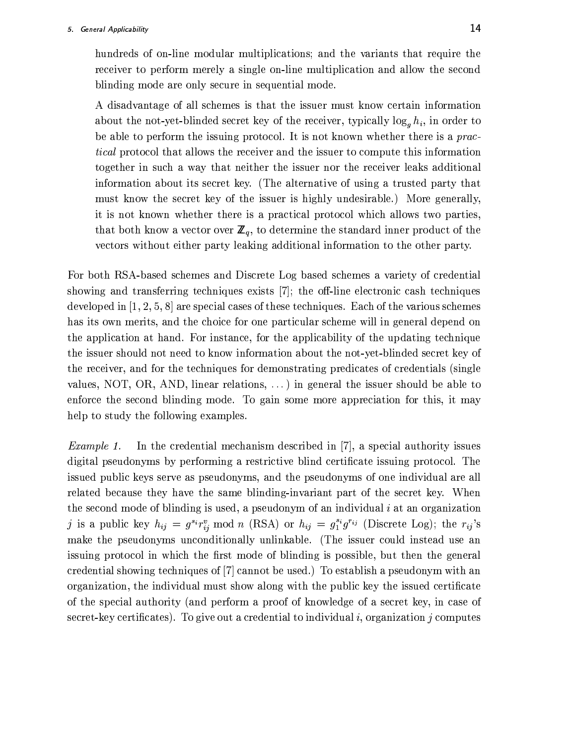hundreds of on-line modular multiplications; and the variants that require the receiver to perform merely a single on-line multiplication and allow the second blinding mode are only secure in sequential mode.

A disadvantage of all schemes is that the issuer must know certain information about the not-yet-blinded secret key of the receiver, typically  $\log_g h_i$ , in order to be able to perform the issuing protocol. It is not known whether there is a prac*tical* protocol that allows the receiver and the issuer to compute this information together in such a way that neither the issuer nor the receiver leaks additional information about its secret key. (The alternative of using a trusted party that must know the secret key of the issuer is highly undesirable.) More generally, it is not known whether there is a practical protocol which allows two parties, that both know a vector over  $\mathbb{Z}_q$ , to determine the standard inner product of the vectors without either party leaking additional information to the other party.

For both RSA-based schemes and Discrete Log based schemes a variety of credential showing and transferring techniques exists [7]; the off-line electronic cash techniques developed in  $[1, 2, 5, 8]$  are special cases of these techniques. Each of the various schemes has its own merits, and the choice for one particular scheme will in general depend on the application at hand. For instance, for the applicability of the updating technique the issuer should not need to know information about the not-yet-blinded secret key of the receiver, and for the techniques for demonstrating predicates of credentials (single values, NOT, OR, AND, linear relations,  $\dots$ ) in general the issuer should be able to enforce the second blinding mode. To gain some more appreciation for this, it may help to study the following examples.

In the credential mechanism described in [7], a special authority issues Example 1. digital pseudonyms by performing a restrictive blind certificate issuing protocol. The issued public keys serve as pseudonyms, and the pseudonyms of one individual are all related because they have the same blinding-invariant part of the secret key. When the second mode of blinding is used, a pseudonym of an individual  $i$  at an organization j is a public key  $h_{ij} = g^{s_i} r_{ij}^v \mod n$  (RSA) or  $h_{ij} = g_1^{s_i} g^{r_{ij}}$  (Discrete Log); the  $r_{ij}$ 's make the pseudonyms unconditionally unlinkable. (The issuer could instead use an issuing protocol in which the first mode of blinding is possible, but then the general credential showing techniques of [7] cannot be used.) To establish a pseudonym with an organization, the individual must show along with the public key the issued certificate of the special authority (and perform a proof of knowledge of a secret key, in case of secret-key certificates). To give out a credential to individual i, organization j computes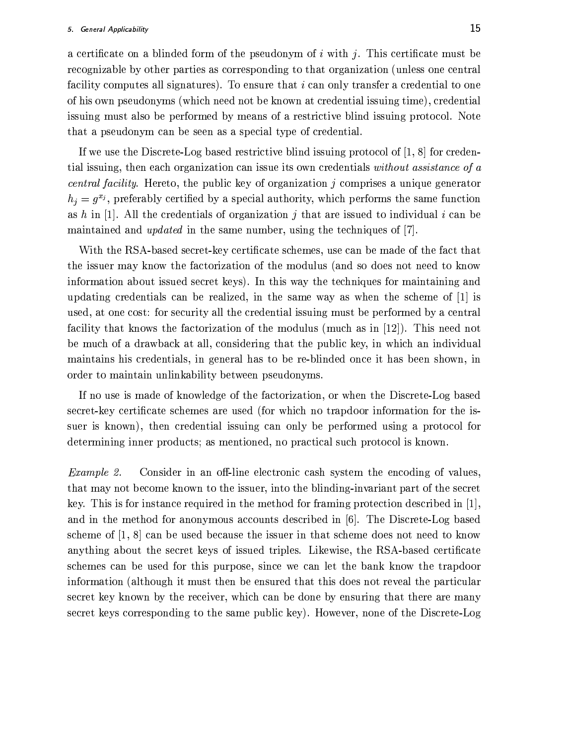a certificate on a blinded form of the pseudonym of i with j. This certificate must be recognizable by other parties as corresponding to that organization (unless one central facility computes all signatures). To ensure that i can only transfer a credential to one of his own pseudonyms (which need not be known at credential issuing time), credential is suing must also be performed by means of a restrictive blind is suing protocol. Note that a pseudonym can be seen as a special type of credential.

If we use the Discrete-Log based restrictive blind issuing protocol of  $[1, 8]$  for credential issuing, then each organization can issue its own credentials without assistance of a *central facility.* Hereto, the public key of organization  $j$  comprises a unique generator  $h_j = g^{x_j}$ , preferably certified by a special authority, which performs the same function as h in [1]. All the credentials of organization j that are issued to individual i can be maintained and *updated* in the same number, using the techniques of  $|7|$ .

With the RSA-based secret-key certificate schemes, use can be made of the fact that the issuer may know the factorization of the modulus (and so does not need to know information about issued secret keys). In this way the techniques for maintaining and updating credentials can be realized, in the same way as when the scheme of  $[1]$  is used, at one cost: for security all the credential issuing must be performed by a central facility that knows the factorization of the modulus (much as in [12]). This need not be much of a drawback at all, considering that the public key, in which an individual maintains his credentials, in general has to be re-blinded once it has been shown, in order to maintain unlinkability between pseudonyms.

If no use is made of knowledge of the factorization, or when the Discrete-Log based secret-key certificate schemes are used (for which no trapdoor information for the issuer is known), then credential issuing can only be performed using a protocol for determining inner products; as mentioned, no practical such protocol is known.

Example 2. Consider in an off-line electronic cash system the encoding of values, that may not become known to the issuer, into the blinding-invariant part of the secret key. This is for instance required in the method for framing protection described in [1], and in the method for anonymous accounts described in  $[6]$ . The Discrete-Log based scheme of  $\left[1, 8\right]$  can be used because the issuer in that scheme does not need to know anything about the secret keys of issued triples. Likewise, the RSA-based certificate schemes can be used for this purpose, since we can let the bank know the trapdoor information (although it must then be ensured that this does not reveal the particular secret key known by the receiver, which can be done by ensuring that there are many secret keys corresponding to the same public key). However, none of the Discrete-Log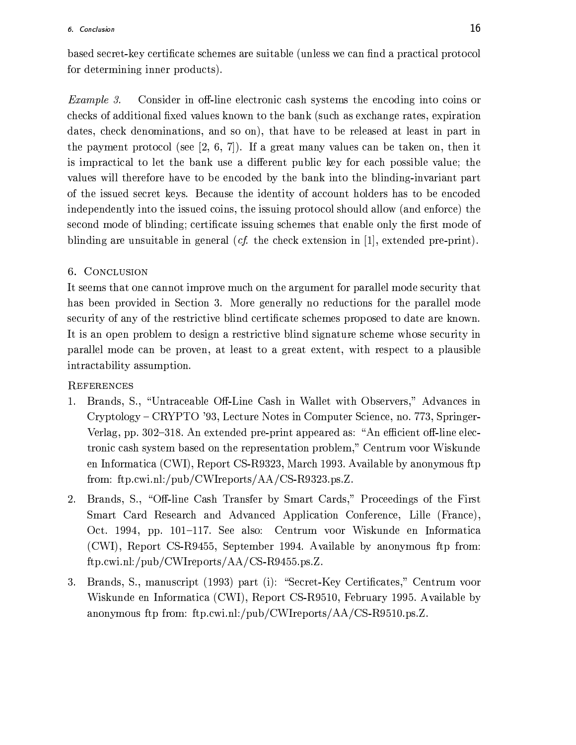based secret-key certificate schemes are suitable (unless we can find a practical protocol for determining inner products).

Consider in off-line electronic cash systems the encoding into coins or Example 3. checks of additional fixed values known to the bank (such as exchange rates, expiration dates, check denominations, and so on), that have to be released at least in part in the payment protocol (see [2, 6, 7]). If a great many values can be taken on, then it is impractical to let the bank use a different public key for each possible value; the values will therefore have to be encoded by the bank into the blinding-invariant part of the issued secret keys. Because the identity of account holders has to be encoded independently into the issued coins, the issuing protocol should allow (and enforce) the second mode of blinding; certificate issuing schemes that enable only the first mode of blinding are unsuitable in general (*cf.* the check extension in [1], extended pre-print).

# 6. CONCLUSION

It seems that one cannot improve much on the argument for parallel mode security that has been provided in Section 3. More generally no reductions for the parallel mode security of any of the restrictive blind certificate schemes proposed to date are known. It is an open problem to design a restrictive blind signature scheme whose security in parallel mode can be proven, at least to a great extent, with respect to a plausible intractability assumption.

# **REFERENCES**

- 1. Brands, S., "Untraceable Off-Line Cash in Wallet with Observers," Advances in Cryptology – CRYPTO '93, Lecture Notes in Computer Science, no. 773, Springer-Verlag, pp. 302-318. An extended pre-print appeared as: "An efficient off-line electronic cash system based on the representation problem," Centrum voor Wiskunde en Informatica (CWI), Report CS-R9323, March 1993. Available by anonymous ftp from: ftp.cwi.nl:/pub/CWIreports/ $AA/CS-R9323.ps.Z.$
- 2. Brands, S., "Off-line Cash Transfer by Smart Cards," Proceedings of the First Smart Card Research and Advanced Application Conference, Lille (France), Oct. 1994, pp. 101–117. See also: Centrum voor Wiskunde en Informatica (CWI), Report CS-R9455, September 1994. Available by anonymous ftp from:  $ftp.cwi.nl://pub/CWIreports/AA/CS-R9455.ps.Z.$
- 3. Brands, S., manuscript (1993) part (i): "Secret-Key Certificates," Centrum voor Wiskunde en Informatica (CWI), Report CS-R9510, February 1995. Available by anonymous ftp from: ftp.cwi.nl:/pub/CWIreports/AA/CS-R9510.ps.Z.